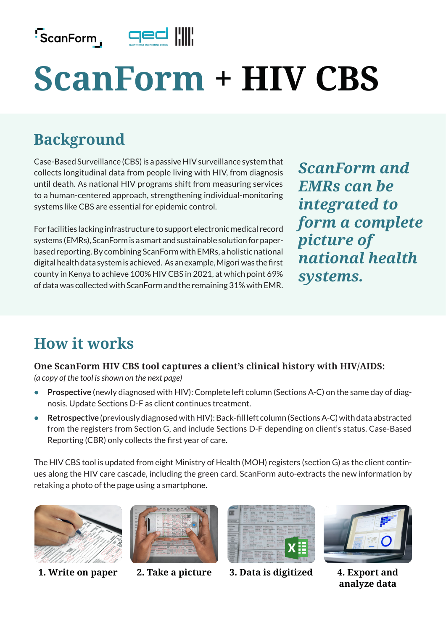

# **ScanForm + HIV CBS**

# **Background**

Case-Based Surveillance (CBS) is a passive HIV surveillance system that collects longitudinal data from people living with HIV, from diagnosis until death. As national HIV programs shift from measuring services to a human-centered approach, strengthening individual-monitoring systems like CBS are essential for epidemic control.

For facilities lacking infrastructure to support electronic medical record systems (EMRs), ScanForm is a smart and sustainable solution for paperbased reporting. By combining ScanForm with EMRs, a holistic national digital health data system is achieved. As an example, Migori was the first county in Kenya to achieve 100% HIV CBS in 2021, at which point 69% of data was collected with ScanForm and the remaining 31% with EMR.

*ScanForm and EMRs can be integrated to form a complete picture of national health systems.*

# **How it works**

**One ScanForm HIV CBS tool captures a client's clinical history with HIV/AIDS:** 

*(a copy of the tool is shown on the next page)* 

- **• Prospective** (newly diagnosed with HIV): Complete left column (Sections A-C) on the same day of diagnosis. Update Sections D-F as client continues treatment.
- **• Retrospective** (previously diagnosed with HIV): Back-fill left column (Sections A-C) with data abstracted from the registers from Section G, and include Sections D-F depending on client's status. Case-Based Reporting (CBR) only collects the first year of care.

The HIV CBS tool is updated from eight Ministry of Health (MOH) registers (section G) as the client continues along the HIV care cascade, including the green card. ScanForm auto-extracts the new information by retaking a photo of the page using a smartphone.







**1. Write on paper 2. Take a picture 3. Data is digitized 4. Export and** 



**analyze data**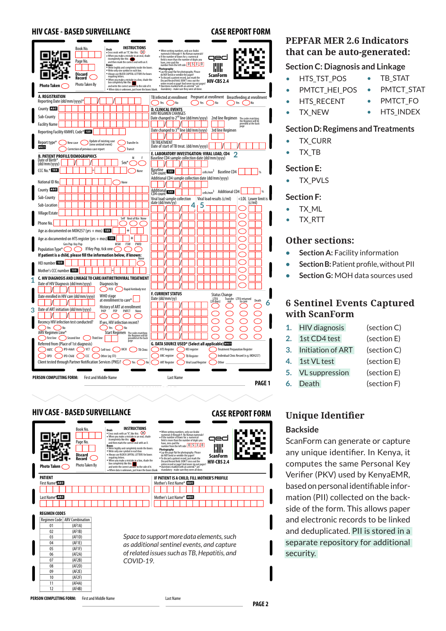#### **HIV CASE - BASED SURVEILLANCE CASE REPORT FORM**



### **HIV CASE - BASED SURVEILLANCE**



#### **PEPFAR MER 2.6 Indicators that can be auto-generated:**

#### **Section C: Diagnosis and Linkage**

- HTS TST POS
- PMTCT HEI POS

• TX\_NEW

- **HTS\_RECENT**
- TB\_STAT PMTCT\_STAT
- PMTCT\_FO
- **HTS\_INDEX**

#### **Section D: Regimens and Treatments**

- TX\_CURR
- TX\_TB

#### **Section E:**

• TX PVLS

#### **Section F:**

- TX\_ML
- TX\_RTT

#### **Other sections:**

- **• Section A:** Facility information
- **• Section B:** Patient profile, without PII
- **• Section G:** MOH data sources used

#### **6 Sentinel Events Captured with ScanForm**

| 1. | <b>HIV</b> diagnosis  | (section C) |
|----|-----------------------|-------------|
| 2. | 1st CD4 test          | (section E) |
| 3. | Initiation of ART     | (section C) |
| 4. | 1st VL test           | (section E) |
| 5. | <b>VL</b> suppression | (section E) |
|    | 6. Death              | (section F) |
|    |                       |             |

## **Unique Identifier**

#### **Backside**

ScanForm can generate or capture any unique identifier. In Kenya, it computes the same Personal Key Verifier (PKV) used by KenyaEMR, based on personal identifiable information (PII) collected on the backside of the form. This allows paper and electronic records to be linked and deduplicated. PII is stored in a separate repository for additional security.